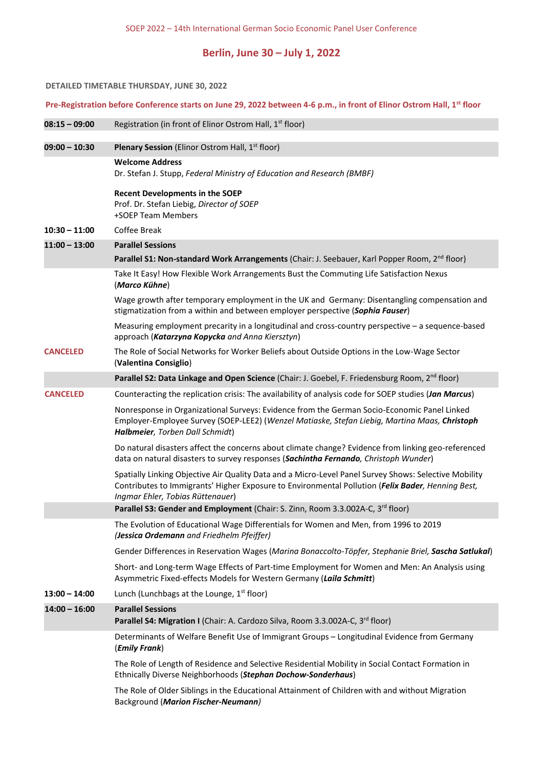# **Berlin, June 30 – July 1, 2022**

#### **DETAILED TIMETABLE THURSDAY, JUNE 30, 2022**

## **Pre-Registration before Conference starts on June 29, 2022 between 4-6 p.m., in front of Elinor Ostrom Hall, 1st floor**

| $08:15 - 09:00$ | Registration (in front of Elinor Ostrom Hall, 1 <sup>st</sup> floor)                                                                                                                                                                           |
|-----------------|------------------------------------------------------------------------------------------------------------------------------------------------------------------------------------------------------------------------------------------------|
| $09:00 - 10:30$ | <b>Plenary Session</b> (Elinor Ostrom Hall, 1 <sup>st</sup> floor)                                                                                                                                                                             |
|                 | <b>Welcome Address</b><br>Dr. Stefan J. Stupp, Federal Ministry of Education and Research (BMBF)                                                                                                                                               |
|                 | <b>Recent Developments in the SOEP</b><br>Prof. Dr. Stefan Liebig, Director of SOEP<br>+SOEP Team Members                                                                                                                                      |
| $10:30 - 11:00$ | Coffee Break                                                                                                                                                                                                                                   |
| $11:00 - 13:00$ | <b>Parallel Sessions</b>                                                                                                                                                                                                                       |
|                 | Parallel S1: Non-standard Work Arrangements (Chair: J. Seebauer, Karl Popper Room, 2 <sup>nd</sup> floor)                                                                                                                                      |
|                 | Take It Easy! How Flexible Work Arrangements Bust the Commuting Life Satisfaction Nexus<br>(Marco Kühne)                                                                                                                                       |
|                 | Wage growth after temporary employment in the UK and Germany: Disentangling compensation and<br>stigmatization from a within and between employer perspective (Sophia Fauser)                                                                  |
|                 | Measuring employment precarity in a longitudinal and cross-country perspective $-$ a sequence-based<br>approach (Katarzyna Kopycka and Anna Kiersztyn)                                                                                         |
| <b>CANCELED</b> | The Role of Social Networks for Worker Beliefs about Outside Options in the Low-Wage Sector<br>(Valentina Consiglio)                                                                                                                           |
|                 | Parallel S2: Data Linkage and Open Science (Chair: J. Goebel, F. Friedensburg Room, 2 <sup>nd</sup> floor)                                                                                                                                     |
| <b>CANCELED</b> | Counteracting the replication crisis: The availability of analysis code for SOEP studies (Jan Marcus)                                                                                                                                          |
|                 | Nonresponse in Organizational Surveys: Evidence from the German Socio-Economic Panel Linked<br>Employer-Employee Survey (SOEP-LEE2) (Wenzel Matiaske, Stefan Liebig, Martina Maas, Christoph<br>Halbmeier, Torben Dall Schmidt)                |
|                 | Do natural disasters affect the concerns about climate change? Evidence from linking geo-referenced<br>data on natural disasters to survey responses (Sachintha Fernando, Christoph Wunder)                                                    |
|                 | Spatially Linking Objective Air Quality Data and a Micro-Level Panel Survey Shows: Selective Mobility<br>Contributes to Immigrants' Higher Exposure to Environmental Pollution (Felix Bader, Henning Best,<br>Ingmar Ehler, Tobias Rüttenauer) |
|                 | Parallel S3: Gender and Employment (Chair: S. Zinn, Room 3.3.002A-C, 3 <sup>rd</sup> floor)                                                                                                                                                    |
|                 | The Evolution of Educational Wage Differentials for Women and Men, from 1996 to 2019<br>(Jessica Ordemann and Friedhelm Pfeiffer)                                                                                                              |
|                 | Gender Differences in Reservation Wages (Marina Bonaccolto-Töpfer, Stephanie Briel, Sascha Satlukal)                                                                                                                                           |
|                 | Short- and Long-term Wage Effects of Part-time Employment for Women and Men: An Analysis using                                                                                                                                                 |

Asymmetric Fixed-effects Models for Western Germany (*Laila Schmitt*)

## **13:00 – 14:00** Lunch (Lunchbags at the Lounge, 1<sup>st</sup> floor)

### **14:00 – 16:00 Parallel Sessions**

Parallel S4: Migration I (Chair: A. Cardozo Silva, Room 3.3.002A-C, 3<sup>rd</sup> floor)

Determinants of Welfare Benefit Use of Immigrant Groups – Longitudinal Evidence from Germany (*Emily Frank*)

The Role of Length of Residence and Selective Residential Mobility in Social Contact Formation in Ethnically Diverse Neighborhoods (*Stephan Dochow-Sonderhaus*)

The Role of Older Siblings in the Educational Attainment of Children with and without Migration Background (*Marion Fischer-Neumann)*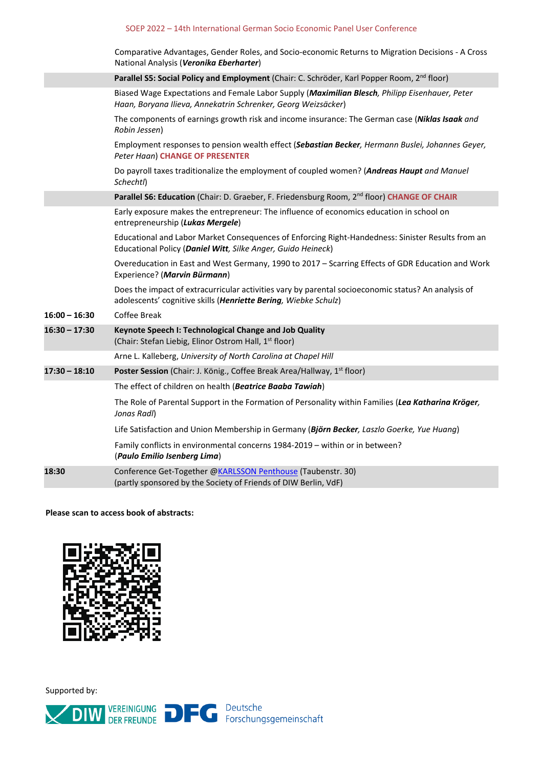### SOEP 2022 – 14th International German Socio Economic Panel User Conference

|                 | Comparative Advantages, Gender Roles, and Socio-economic Returns to Migration Decisions - A Cross<br>National Analysis (Veronika Eberharter)                           |
|-----------------|------------------------------------------------------------------------------------------------------------------------------------------------------------------------|
|                 | Parallel S5: Social Policy and Employment (Chair: C. Schröder, Karl Popper Room, 2 <sup>nd</sup> floor)                                                                |
|                 | Biased Wage Expectations and Female Labor Supply (Maximilian Blesch, Philipp Eisenhauer, Peter<br>Haan, Boryana Ilieva, Annekatrin Schrenker, Georg Weizsäcker)        |
|                 | The components of earnings growth risk and income insurance: The German case ( <b>Niklas Isaak</b> and<br>Robin Jessen)                                                |
|                 | Employment responses to pension wealth effect (Sebastian Becker, Hermann Buslei, Johannes Geyer,<br><b>Peter Haan) CHANGE OF PRESENTER</b>                             |
|                 | Do payroll taxes traditionalize the employment of coupled women? (Andreas Haupt and Manuel<br>Schechtl)                                                                |
|                 | <b>Parallel S6: Education</b> (Chair: D. Graeber, F. Friedensburg Room, 2 <sup>nd</sup> floor) CHANGE OF CHAIR                                                         |
|                 | Early exposure makes the entrepreneur: The influence of economics education in school on<br>entrepreneurship (Lukas Mergele)                                           |
|                 | Educational and Labor Market Consequences of Enforcing Right-Handedness: Sinister Results from an<br>Educational Policy (Daniel Witt, Silke Anger, Guido Heineck)      |
|                 | Overeducation in East and West Germany, 1990 to 2017 - Scarring Effects of GDR Education and Work<br>Experience? (Marvin Bürmann)                                      |
|                 | Does the impact of extracurricular activities vary by parental socioeconomic status? An analysis of<br>adolescents' cognitive skills (Henriette Bering, Wiebke Schulz) |
| $16:00 - 16:30$ | <b>Coffee Break</b>                                                                                                                                                    |
| $16:30 - 17:30$ | Keynote Speech I: Technological Change and Job Quality<br>(Chair: Stefan Liebig, Elinor Ostrom Hall, 1 <sup>st</sup> floor)                                            |
|                 | Arne L. Kalleberg, University of North Carolina at Chapel Hill                                                                                                         |
| $17:30 - 18:10$ | Poster Session (Chair: J. König., Coffee Break Area/Hallway, 1 <sup>st</sup> floor)                                                                                    |
|                 | The effect of children on health (Beatrice Baaba Tawiah)                                                                                                               |
|                 | The Role of Parental Support in the Formation of Personality within Families (Lea Katharina Kröger,<br>Jonas Radl)                                                     |
|                 | Life Satisfaction and Union Membership in Germany (Björn Becker, Laszlo Goerke, Yue Huang)                                                                             |
|                 | Family conflicts in environmental concerns 1984-2019 – within or in between?<br>(Paulo Emilio Isenberg Lima)                                                           |
| 18:30           | Conference Get-Together @KARLSSON Penthouse (Taubenstr. 30)<br>(partly sponsored by the Society of Friends of DIW Berlin, VdF)                                         |

**Please scan to access book of abstracts:**



Supported by:

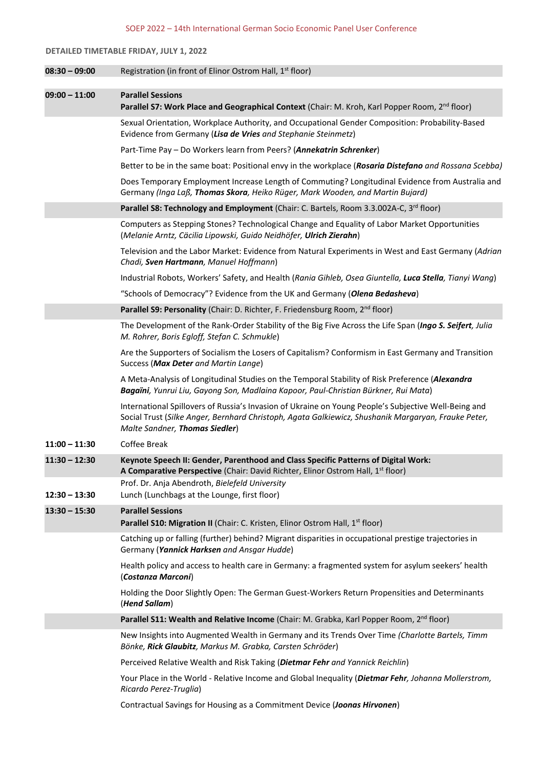#### SOEP 2022 – 14th International German Socio Economic Panel User Conference

#### **DETAILED TIMETABLE FRIDAY, JULY 1, 2022**

| $08:30 - 09:00$ | Registration (in front of Elinor Ostrom Hall, 1 <sup>st</sup> floor)                                                                                                                                                                          |
|-----------------|-----------------------------------------------------------------------------------------------------------------------------------------------------------------------------------------------------------------------------------------------|
|                 |                                                                                                                                                                                                                                               |
| $09:00 - 11:00$ | <b>Parallel Sessions</b><br>Parallel S7: Work Place and Geographical Context (Chair: M. Kroh, Karl Popper Room, 2 <sup>nd</sup> floor)                                                                                                        |
|                 | Sexual Orientation, Workplace Authority, and Occupational Gender Composition: Probability-Based<br>Evidence from Germany (Lisa de Vries and Stephanie Steinmetz)                                                                              |
|                 | Part-Time Pay – Do Workers learn from Peers? (Annekatrin Schrenker)                                                                                                                                                                           |
|                 | Better to be in the same boat: Positional envy in the workplace (Rosaria Distefano and Rossana Scebba)                                                                                                                                        |
|                 | Does Temporary Employment Increase Length of Commuting? Longitudinal Evidence from Australia and<br>Germany (Inga Laß, Thomas Skora, Heiko Rüger, Mark Wooden, and Martin Bujard)                                                             |
|                 | Parallel S8: Technology and Employment (Chair: C. Bartels, Room 3.3.002A-C, 3 <sup>rd</sup> floor)                                                                                                                                            |
|                 | Computers as Stepping Stones? Technological Change and Equality of Labor Market Opportunities<br>(Melanie Arntz, Cäcilia Lipowski, Guido Neidhöfer, Ulrich Zierahn)                                                                           |
|                 | Television and the Labor Market: Evidence from Natural Experiments in West and East Germany (Adrian<br>Chadi, Sven Hartmann, Manuel Hoffmann)                                                                                                 |
|                 | Industrial Robots, Workers' Safety, and Health (Rania Gihleb, Osea Giuntella, Luca Stella, Tianyi Wang)                                                                                                                                       |
|                 | "Schools of Democracy"? Evidence from the UK and Germany (Olena Bedasheva)                                                                                                                                                                    |
|                 | Parallel S9: Personality (Chair: D. Richter, F. Friedensburg Room, 2 <sup>nd</sup> floor)                                                                                                                                                     |
|                 | The Development of the Rank-Order Stability of the Big Five Across the Life Span (Ingo S. Seifert, Julia<br>M. Rohrer, Boris Egloff, Stefan C. Schmukle)                                                                                      |
|                 | Are the Supporters of Socialism the Losers of Capitalism? Conformism in East Germany and Transition<br>Success (Max Deter and Martin Lange)                                                                                                   |
|                 | A Meta-Analysis of Longitudinal Studies on the Temporal Stability of Risk Preference (Alexandra<br>Bagaïni, Yunrui Liu, Gayong Son, Madlaina Kapoor, Paul-Christian Bürkner, Rui Mata)                                                        |
|                 | International Spillovers of Russia's Invasion of Ukraine on Young People's Subjective Well-Being and<br>Social Trust (Silke Anger, Bernhard Christoph, Agata Galkiewicz, Shushanik Margaryan, Frauke Peter,<br>Malte Sandner, Thomas Siedler) |
| $11:00 - 11:30$ | <b>Coffee Break</b>                                                                                                                                                                                                                           |
| $11:30 - 12:30$ | Keynote Speech II: Gender, Parenthood and Class Specific Patterns of Digital Work:<br>A Comparative Perspective (Chair: David Richter, Elinor Ostrom Hall, 1 <sup>st</sup> floor)<br>Prof. Dr. Anja Abendroth, Bielefeld University           |
| $12:30 - 13:30$ | Lunch (Lunchbags at the Lounge, first floor)                                                                                                                                                                                                  |
| $13:30 - 15:30$ | <b>Parallel Sessions</b><br><b>Parallel S10: Migration II</b> (Chair: C. Kristen, Elinor Ostrom Hall, 1 <sup>st</sup> floor)                                                                                                                  |
|                 | Catching up or falling (further) behind? Migrant disparities in occupational prestige trajectories in<br>Germany (Yannick Harksen and Ansgar Hudde)                                                                                           |
|                 | Health policy and access to health care in Germany: a fragmented system for asylum seekers' health                                                                                                                                            |

(*Costanza Marconi*) Holding the Door Slightly Open: The German Guest-Workers Return Propensities and Determinants

(*Hend Sallam*)

Parallel S11: Wealth and Relative Income (Chair: M. Grabka, Karl Popper Room, 2<sup>nd</sup> floor)

New Insights into Augmented Wealth in Germany and its Trends Over Time *(Charlotte Bartels, Timm Bönke, Rick Glaubitz, Markus M. Grabka, Carsten Schröder*)

Perceived Relative Wealth and Risk Taking (*Dietmar Fehr and Yannick Reichlin*)

Your Place in the World - Relative Income and Global Inequality (*Dietmar Fehr, Johanna Mollerstrom, Ricardo Perez-Truglia*)

Contractual Savings for Housing as a Commitment Device (*Joonas Hirvonen*)